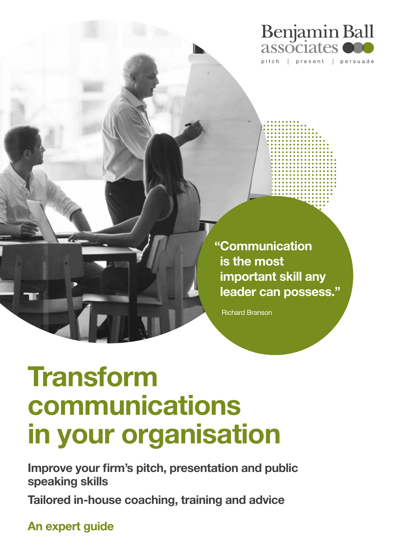

" Communication is the most important skill any leader can possess."

Richard Branson

# **Transform** communications in your organisation

Improve your firm's pitch, presentation and public speaking skills

Tailored in-house coaching, training and advice

An expert guide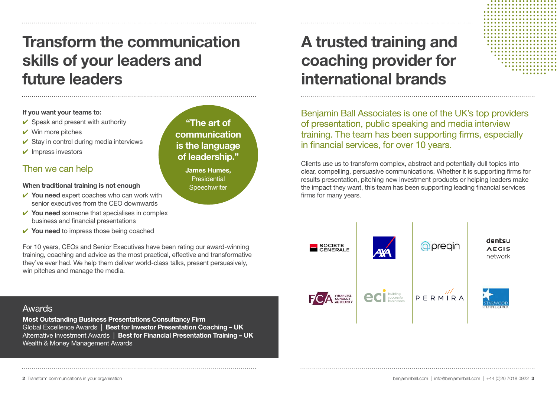# Transform the communication skills of your leaders and future leaders

#### If you want your teams to:

- $\checkmark$  Speak and present with authority
- $\vee$  Win more pitches
- $\checkmark$  Stay in control during media interviews
- ✔ Impress investors

### Then we can help

#### When traditional training is not enough

- $\checkmark$  You need expert coaches who can work with senior executives from the CEO downwards
- $\checkmark$  You need someone that specialises in complex business and financial presentations
- $\checkmark$  You need to impress those being coached

For 10 years, CEOs and Senior Executives have been rating our award-winning training, coaching and advice as the most practical, effective and transformative they've ever had. We help them deliver world-class talks, present persuasively, win pitches and manage the media.

"The art of communication is the language of leadership."

> James Humes, **Presidential Speechwriter**

## A trusted training and coaching provider for international brands

Benjamin Ball Associates is one of the UK's top providers of presentation, public speaking and media interview training. The team has been supporting firms, especially in financial services, for over 10 years.

Clients use us to transform complex, abstract and potentially dull topics into clear, compelling, persuasive communications. Whether it is supporting firms for results presentation, pitching new investment products or helping leaders make the impact they want, this team has been supporting leading financial services firms for many years.



### Awards

Most Outstanding Business Presentations Consultancy Firm Global Excellence Awards | Best for Investor Presentation Coaching – UK Alternative Investment Awards | Best for Financial Presentation Training - UK Wealth & Money Management Awards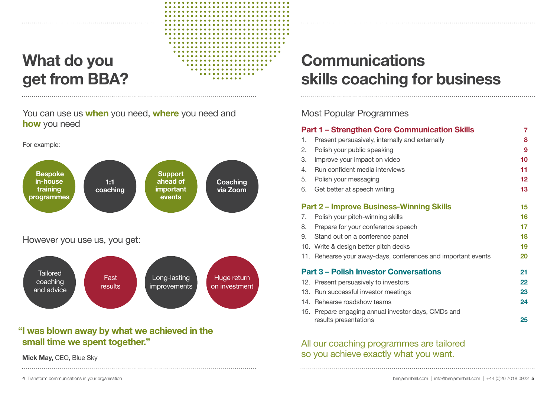# What do you get from BBA?

You can use us when you need, where you need and how you need

For example:



### "I was blown away by what we achieved in the small time we spent together."

Mick May, CEO, Blue Sky

# **Communications** skills coaching for business

### Most Popular Programmes

| <b>Part 1 – Strengthen Core Communication Skills</b> |                                                                              |    |  |  |
|------------------------------------------------------|------------------------------------------------------------------------------|----|--|--|
| 1.                                                   | Present persuasively, internally and externally                              | 8  |  |  |
| 2.                                                   | Polish your public speaking                                                  | 9  |  |  |
| 3.                                                   | Improve your impact on video                                                 | 10 |  |  |
| 4.                                                   | Run confident media interviews                                               | 11 |  |  |
| 5.                                                   | Polish your messaging                                                        | 12 |  |  |
| 6.                                                   | Get better at speech writing                                                 | 13 |  |  |
| <b>Part 2 - Improve Business-Winning Skills</b>      |                                                                              |    |  |  |
| 7.                                                   | Polish your pitch-winning skills                                             | 16 |  |  |
| 8.                                                   | Prepare for your conference speech                                           | 17 |  |  |
| 9.                                                   | Stand out on a conference panel                                              | 18 |  |  |
|                                                      | 10. Write & design better pitch decks                                        | 19 |  |  |
|                                                      | 11. Rehearse your away-days, conferences and important events                | 20 |  |  |
| <b>Part 3 - Polish Investor Conversations</b><br>21  |                                                                              |    |  |  |
|                                                      | 12. Present persuasively to investors                                        | 22 |  |  |
|                                                      | 13. Run successful investor meetings                                         | 23 |  |  |
|                                                      | 14. Rehearse roadshow teams                                                  | 24 |  |  |
|                                                      | 15. Prepare engaging annual investor days, CMDs and<br>results presentations | 25 |  |  |

### All our coaching programmes are tailored so you achieve exactly what you want.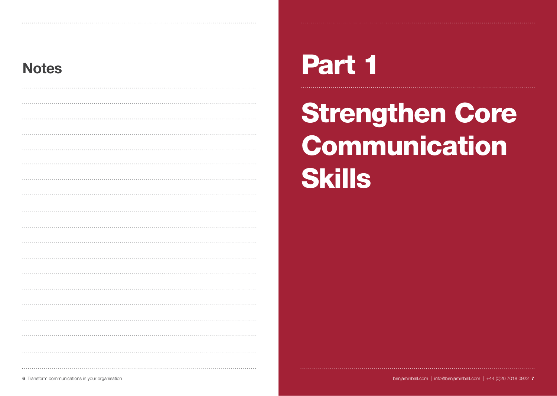# Notes Part 1

Strengthen Core **Communication Skills**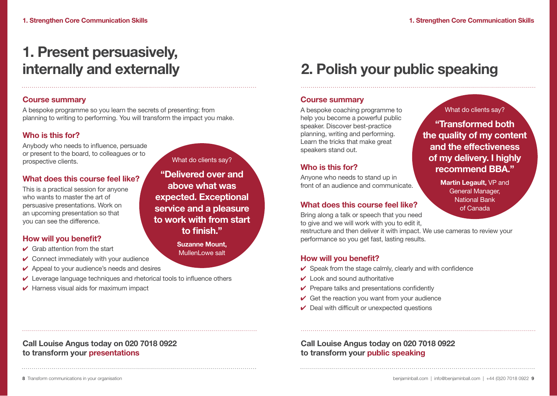# 1. Present persuasively,

### Course summary

A bespoke programme so you learn the secrets of presenting: from planning to writing to performing. You will transform the impact you make.

### Who is this for?

Anybody who needs to influence, persuade or present to the board, to colleagues or to prospective clients.

### What does this course feel like?

This is a practical session for anyone who wants to master the art of persuasive presentations. Work on an upcoming presentation so that you can see the difference.

### How will you benefit?

- $\vee$  Grab attention from the start
- $\checkmark$  Connect immediately with your audience
- $\vee$  Appeal to your audience's needs and desires

Call Louise Angus today on 020 7018 0922

- ✔ Leverage language techniques and rhetorical tools to influence others
- $\vee$  Harness visual aids for maximum impact

What do clients say?

"Delivered over and above what was expected. Exceptional service and a pleasure to work with from start to finish."

> Suzanne Mount, MullenLowe salt

## internally and externally 2. Polish your public speaking

### Course summary

A bespoke coaching programme to help you become a powerful public speaker. Discover best-practice planning, writing and performing. Learn the tricks that make great speakers stand out.

### Who is this for?

Anyone who needs to stand up in front of an audience and communicate.

### What does this course feel like?

Bring along a talk or speech that you need to give and we will work with you to edit it,

restructure and then deliver it with impact. We use cameras to review your performance so you get fast, lasting results.

### How will you benefit?

- $\checkmark$  Speak from the stage calmly, clearly and with confidence
- $\vee$  Look and sound authoritative
- $\vee$  Prepare talks and presentations confidently
- $\vee$  Get the reaction you want from your audience
- $\vee$  Deal with difficult or unexpected questions

### Call Louise Angus today on 020 7018 0922 to transform your public speaking

### What do clients say?

### "Transformed both the quality of my content and the effectiveness of my delivery. I highly recommend BBA."

Martin Legault, VP and General Manager, National Bank of Canada

to transform your presentations

8 Transform communications in your organisation benjaminball.com | +44 (0)20 7018 0922 9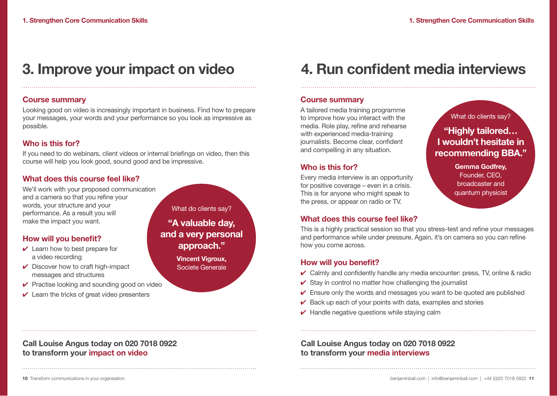What do clients say?

"Highly tailored… I wouldn't hesitate in recommending BBA."

> Gemma Godfrey, Founder, CEO, broadcaster and quantum physicist

### 3. Improve your impact on video

### Course summary

Looking good on video is increasingly important in business. Find how to prepare your messages, your words and your performance so you look as impressive as possible.

### Who is this for?

If you need to do webinars, client videos or internal briefings on video, then this course will help you look good, sound good and be impressive.

### What does this course feel like?

We'll work with your proposed communication and a camera so that you refine your words, your structure and your performance. As a result you will make the impact you want.

### How will you benefit?

- $\vee$  Learn how to best prepare for a video recording
- $\vee$  Discover how to craft high-impact messages and structures
- $\checkmark$  Practise looking and sounding good on video
- $\vee$  Learn the tricks of great video presenters

What do clients say?

"A valuable day, and a very personal approach."

> Vincent Vigroux, Societe Generale

### 4. Run confident media interviews

### Course summary

A tailored media training programme to improve how you interact with the media. Role play, refine and rehearse with experienced media-training journalists. Become clear, confident and compelling in any situation.

### Who is this for?

Every media interview is an opportunity for positive coverage – even in a crisis. This is for anyone who might speak to the press, or appear on radio or TV.

### What does this course feel like?

This is a highly practical session so that you stress-test and refine your messages and performance while under pressure. Again, it's on camera so you can refine how you come across.

### How will you benefit?

- $\checkmark$  Calmly and confidently handle any media encounter: press, TV, online & radio
- $\checkmark$  Stay in control no matter how challenging the journalist
- $\checkmark$  Ensure only the words and messages you want to be quoted are published
- $\vee$  Back up each of your points with data, examples and stories
- $\vee$  Handle negative questions while staying calm

### Call Louise Angus today on 020 7018 0922 to transform your media interviews

Call Louise Angus today on 020 7018 0922

to transform your impact on video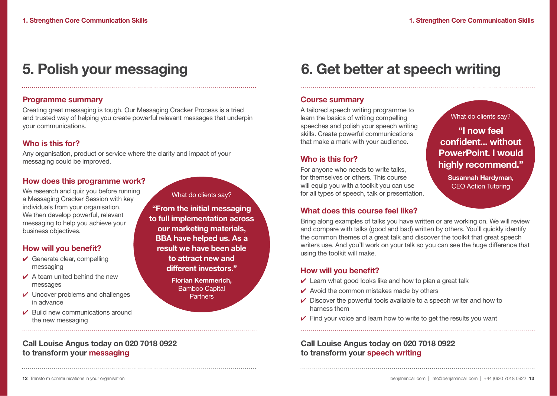### 5. Polish your messaging

### Programme summary

Creating great messaging is tough. Our Messaging Cracker Process is a tried and trusted way of helping you create powerful relevant messages that underpin your communications.

### Who is this for?

Any organisation, product or service where the clarity and impact of your messaging could be improved.

### How does this programme work?

We research and quiz you before running a Messaging Cracker Session with key individuals from your organisation. We then develop powerful, relevant messaging to help you achieve your business objectives.

### How will you benefit?

- $\checkmark$  Generate clear, compelling messaging
- $\angle$  A team united behind the new messages
- $\checkmark$  Uncover problems and challenges in advance
- $\vee$  Build new communications around the new messaging

Call Louise Angus today on 020 7018 0922

### What do clients say?

"From the initial messaging to full implementation across our marketing materials, BBA have helped us. As a result we have been able to attract new and different investors."

> Florian Kemmerich, Bamboo Capital **Partners**

### 6. Get better at speech writing

### Course summary

A tailored speech writing programme to learn the basics of writing compelling speeches and polish your speech writing skills. Create powerful communications that make a mark with your audience.

### Who is this for?

For anyone who needs to write talks, for themselves or others. This course will equip you with a toolkit you can use for all types of speech, talk or presentation.

### What does this course feel like?

Bring along examples of talks you have written or are working on. We will review and compare with talks (good and bad) written by others. You'll quickly identify the common themes of a great talk and discover the toolkit that great speech writers use. And you'll work on your talk so you can see the huge difference that using the toolkit will make.

### How will you benefit?

- $\vee$  Learn what good looks like and how to plan a great talk
- $\vee$  Avoid the common mistakes made by others
- $\vee$  Discover the powerful tools available to a speech writer and how to harness them
- $\vee$  Find your voice and learn how to write to get the results you want

### Call Louise Angus today on 020 7018 0922 to transform your speech writing

What do clients say?

### "I now feel confident... without PowerPoint. I would highly recommend."

Susannah Hardyman, CEO Action Tutoring

to transform your messaging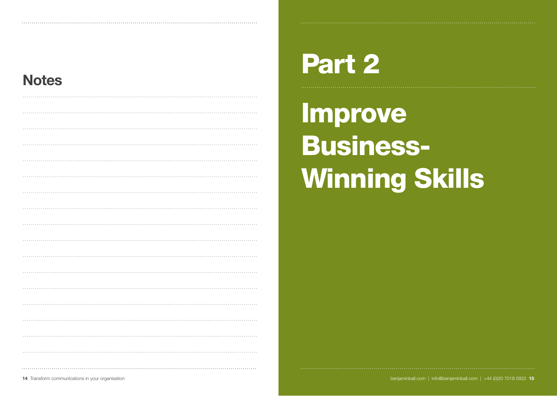### **Notes**

# Part 2

Improve Business-Winning Skills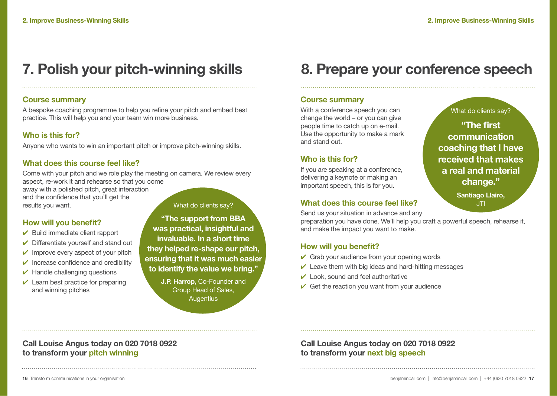### Course summary

A bespoke coaching programme to help you refine your pitch and embed best practice. This will help you and your team win more business.

### Who is this for?

Anyone who wants to win an important pitch or improve pitch-winning skills.

### What does this course feel like?

Come with your pitch and we role play the meeting on camera. We review every aspect, re-work it and rehearse so that you come

away with a polished pitch, great interaction and the confidence that you'll get the results you want.

What do clients say?

### How will you benefit?

- $\triangleright$  Build immediate client rapport
- $\triangleright$  Differentiate vourself and stand out
- $\checkmark$  Improve every aspect of your pitch
- $\vee$  Increase confidence and credibility
- $\vee$  Handle challenging questions
- $\vee$  Learn best practice for preparing and winning pitches

to transform your pitch winning

"The support from BBA was practical, insightful and invaluable. In a short time they helped re-shape our pitch, ensuring that it was much easier to identify the value we bring."

> J.P. Harrop, Co-Founder and Group Head of Sales, **Augentius**

### 7. Polish your pitch-winning skills 8. Prepare your conference speech

### Course summary

With a conference speech you can change the world – or you can give people time to catch up on e-mail. Use the opportunity to make a mark and stand out.

### Who is this for?

If you are speaking at a conference, delivering a keynote or making an important speech, this is for you.

### What does this course feel like?

Send us your situation in advance and any

preparation you have done. We'll help you craft a powerful speech, rehearse it,

### How will you benefit?

- $\checkmark$  Grab your audience from your opening words
- $\vee$  Leave them with big ideas and hard-hitting messages
- $\vee$  Look, sound and feel authoritative
- $\checkmark$  Get the reaction you want from your audience

### "The first communication coaching that I have received that makes

What do clients say?

a real and material change."

> Santiago Llairo, JTI

and make the impact you want to make.

Call Louise Angus today on 020 7018 0922

### Call Louise Angus today on 020 7018 0922 to transform your next big speech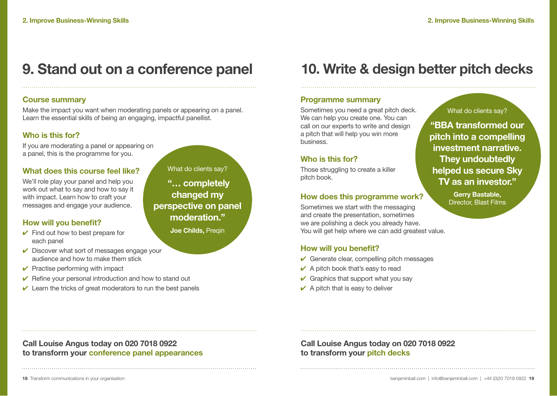### 9. Stand out on a conference panel

### Course summary

Make the impact you want when moderating panels or appearing on a panel. Learn the essential skills of being an engaging, impactful panellist.

### Who is this for?

If you are moderating a panel or appearing on a panel, this is the programme for you.

### What does this course feel like?

We'll role play your panel and help you work out what to say and how to say it with impact. Learn how to craft your messages and engage your audience.

### How will you benefit?

- $\checkmark$  Find out how to best prepare for each panel
- What do clients say? "… completely changed my perspective on panel

moderation."

Joe Childs, Pregin

- $\vee$  Discover what sort of messages engage your audience and how to make them stick
- $\vee$  Practise performing with impact
- $\checkmark$  Refine your personal introduction and how to stand out
- $\vee$  Learn the tricks of great moderators to run the best panels

### 10. Write & design better pitch decks

#### Programme summary

Sometimes you need a great pitch deck. We can help you create one. You can call on our experts to write and design a pitch that will help you win more business.

### Who is this for?

Those struggling to create a killer pitch book.

#### How does this programme work?

Sometimes we start with the messaging and create the presentation, sometimes we are polishing a deck you already have. You will get help where we can add greatest value.

### How will you benefit?

- $\vee$  Generate clear, compelling pitch messages
- $\vee$  A pitch book that's easy to read
- $\vee$  Graphics that support what you say
- $\vee$  A pitch that is easy to deliver

#### What do clients say?

"BBA transformed our pitch into a compelling investment narrative. They undoubtedly helped us secure Sky TV as an investor."

> Gerry Bastable, Director, Blast Films

Call Louise Angus today on 020 7018 0922 to transform your conference panel appearances Call Louise Angus today on 020 7018 0922 to transform your pitch decks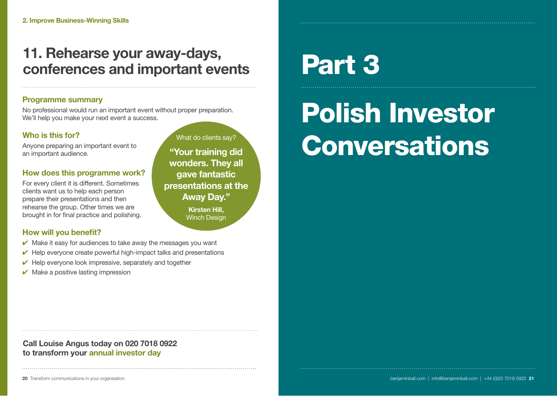### 11. Rehearse your away-days, conferences and important events

### Programme summary

No professional would run an important event without proper preparation. We'll help you make your next event a success.

### Who is this for?

Anyone preparing an important event to an important audience.

### How does this programme work?

For every client it is different. Sometimes clients want us to help each person prepare their presentations and then rehearse the group. Other times we are brought in for final practice and polishing.

"Your training did wonders. They all gave fantastic presentations at the Away Day." Kirsten Hill, Winch Design

What do clients say?

### How will you benefit?

- $\vee$  Make it easy for audiences to take away the messages you want
- $\vee$  Help everyone create powerful high-impact talks and presentations
- $\vee$  Help everyone look impressive, separately and together
- $\vee$  Make a positive lasting impression

# Part 3

# Polish Investor Conversations

### Call Louise Angus today on 020 7018 0922 to transform your annual investor day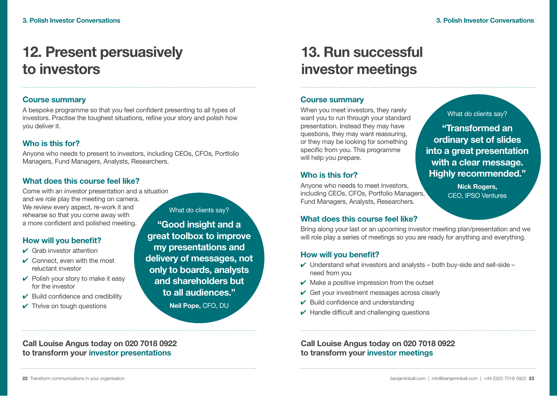## 12. Present persuasively to investors

### Course summary

A bespoke programme so that you feel confident presenting to all types of investors. Practise the toughest situations, refine your story and polish how you deliver it.

### Who is this for?

Anyone who needs to present to investors, including CEOs, CFOs, Portfolio Managers, Fund Managers, Analysts, Researchers.

### What does this course feel like?

Come with an investor presentation and a situation and we role play the meeting on camera. We review every aspect, re-work it and rehearse so that you come away with a more confident and polished meeting.

### How will you benefit?

- $\vee$  Grab investor attention
- $\vee$  Connect, even with the most reluctant investor
- $\vee$  Polish your story to make it easy for the investor
- $\triangleright$  Build confidence and credibility
- $\checkmark$  Thrive on tough questions

What do clients say?

"Good insight and a great toolbox to improve my presentations and delivery of messages, not only to boards, analysts and shareholders but to all audiences."

Neil Pope, CFO, DU

## 13. Run successful investor meetings

### Course summary

When you meet investors, they rarely want you to run through your standard presentation. Instead they may have questions, they may want reassuring, or they may be looking for something specific from you. This programme will help you prepare.

### Who is this for?

Anyone who needs to meet investors, including CEOs, CFOs, Portfolio Managers, Fund Managers, Analysts, Researchers.

### What does this course feel like?

Bring along your last or an upcoming investor meeting plan/presentation and we will role play a series of meetings so you are ready for anything and everything.

### How will you benefit?

- $\vee$  Understand what investors and analysts both buy-side and sell-side need from you
- $\vee$  Make a positive impression from the outset
- $\vee$  Get your investment messages across clearly
- $\vee$  Build confidence and understanding
- $\vee$  Handle difficult and challenging questions

### Call Louise Angus today on 020 7018 0922 to transform your investor meetings

What do clients say?

"Transformed an ordinary set of slides into a great presentation with a clear message. Highly recommended."

> Nick Rogers, CEO, IPSO Ventures

Call Louise Angus today on 020 7018 0922 to transform your investor presentations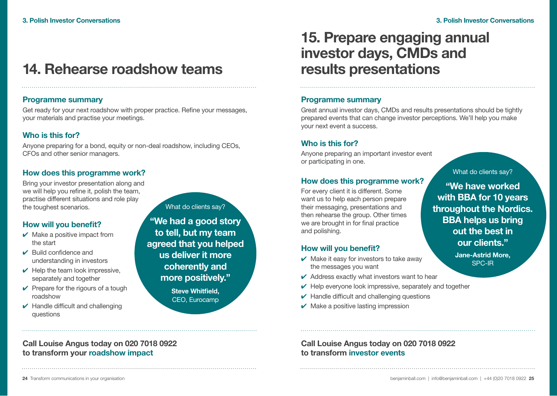### 14. Rehearse roadshow teams

### Programme summary

Get ready for your next roadshow with proper practice. Refine your messages, your materials and practise your meetings.

### Who is this for?

Anyone preparing for a bond, equity or non-deal roadshow, including CEOs, CFOs and other senior managers.

### How does this programme work?

Bring your investor presentation along and we will help you refine it, polish the team, practise different situations and role play the toughest scenarios.

### How will you benefit?

- $\vee$  Make a positive impact from the start
- ✔ Build confidence and understanding in investors
- $\vee$  Help the team look impressive, separately and together
- $\vee$  Prepare for the rigours of a tough roadshow
- $\vee$  Handle difficult and challenging questions

Call Louise Angus today on 020 7018 0922

to transform your roadshow impact

What do clients say?

"We had a good story to tell, but my team agreed that you helped us deliver it more coherently and more positively." Steve Whitfield, CEO, Eurocamp

### 15. Prepare engaging annual investor days, CMDs and results presentations

#### Programme summary

Great annual investor days, CMDs and results presentations should be tightly prepared events that can change investor perceptions. We'll help you make your next event a success.

### Who is this for?

Anyone preparing an important investor event or participating in one.

### How does this programme work?

For every client it is different. Some want us to help each person prepare their messaging, presentations and then rehearse the group. Other times we are brought in for final practice and polishing.

### How will you benefit?

- $\vee$  Make it easy for investors to take away the messages you want
- $\vee$  Address exactly what investors want to hear
- $\vee$  Help everyone look impressive, separately and together
- $\vee$  Handle difficult and challenging questions
- $\vee$  Make a positive lasting impression

What do clients say?

"We have worked with BBA for 10 years throughout the Nordics. BBA helps us bring out the best in our clients."

> Jane-Astrid More, SPC-IR

Call Louise Angus today on 020 7018 0922 to transform investor events

24 Transform communications in your organisation benjaminball.com | info@benjaminball.com | +44 (0)20 7018 0922 25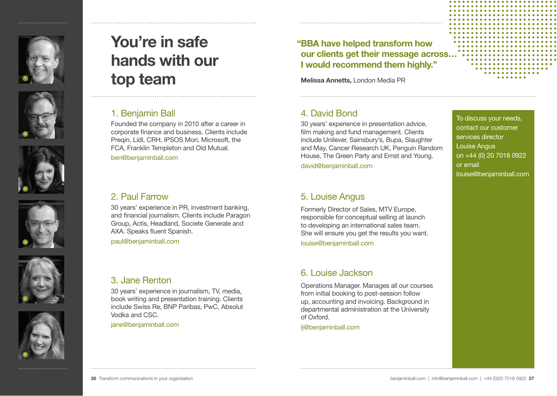











# You're in safe hands with our top team

### 1. Benjamin Ball

Founded the company in 2010 after a career in corporate finance and business. Clients include Preqin, Lidl, CRH, IPSOS Mori, Microsoft, the FCA, Franklin Templeton and Old Mutual.

ben@benjaminball.com

### 2. Paul Farrow

30 years' experience in PR, investment banking, and financial journalism. Clients include Paragon Group, Actis, Headland, Societe Generale and AXA. Speaks fluent Spanish.

paul@benjaminball.com

### 3. Jane Renton

30 years' experience in journalism, TV, media, book writing and presentation training. Clients include Swiss Re, BNP Paribas, PwC, Absolut Vodka and CSC.

jane@benjaminball.com

### " BBA have helped transform how our clients get their message across… I would recommend them highly."

Melissa Annetts, London Media PR

### 4. David Bond

30 years' experience in presentation advice, film making and fund management. Clients include Unilever, Sainsbury's, Bupa, Slaughter and May, Cancer Research UK, Penguin Random House, The Green Party and Ernst and Young. david@benjaminball.com

### 5. Louise Angus

Formerly Director of Sales, MTV Europe, responsible for conceptual selling at launch to developing an international sales team. She will ensure you get the results you want. louise@benjaminball.com

### 6. Louise Jackson

Operations Manager. Manages all our courses from initial booking to post-session follow up, accounting and invoicing. Background in departmental administration at the University of Oxford.

lj@benjaminball.com

### To discuss your needs, contact our customer services director Louise Angus on +44 (0) 20 7018 0922 or email louise@benjaminball.com

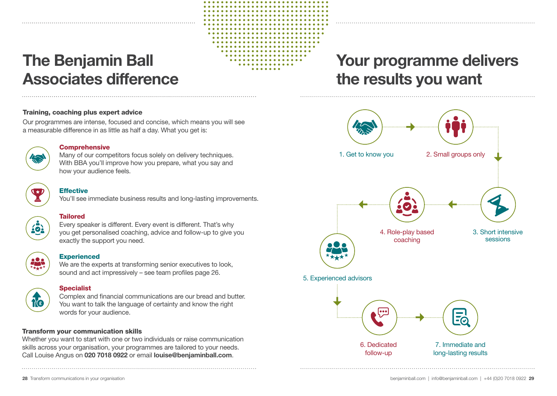# The Benjamin Ball Associates difference

#### Training, coaching plus expert advice

Our programmes are intense, focused and concise, which means you will see a measurable difference in as little as half a day. What you get is:



#### **Comprehensive**

Many of our competitors focus solely on delivery techniques. With BBA you'll improve how you prepare, what you say and how your audience feels.

### **Effective**

You'll see immediate business results and long-lasting improvements.

#### Tailored

Every speaker is different. Every event is different. That's why you get personalised coaching, advice and follow-up to give you exactly the support you need.



### **Experienced**

We are the experts at transforming senior executives to look. sound and act impressively – see team profiles page 26.



#### **Specialist**

Complex and financial communications are our bread and butter. You want to talk the language of certainty and know the right words for your audience.

### Transform your communication skills

Whether you want to start with one or two individuals or raise communication skills across your organisation, your programmes are tailored to your needs. Call Louise Angus on 020 7018 0922 or email louise@benjaminball.com.

## Your programme delivers the results you want

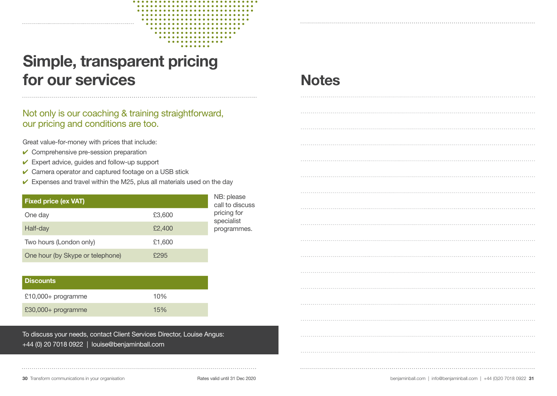

### Not only is our coaching & training straightforward, our pricing and conditions are too.

Great value-for-money with prices that include:

- $\checkmark$  Comprehensive pre-session preparation
- $\checkmark$  Expert advice, guides and follow-up support
- $\checkmark$  Camera operator and captured footage on a USB stick
- $\checkmark$  Expenses and travel within the M25, plus all materials used on the day

| <b>Fixed price (ex VAT)</b>      | NB: please<br>call to discuss |                           |
|----------------------------------|-------------------------------|---------------------------|
| One day                          | £3,600                        | pricing for<br>specialist |
| Half-day                         | £2,400                        | programmes.               |
| Two hours (London only)          | £1,600                        |                           |
| One hour (by Skype or telephone) | £295                          |                           |

| l Discounts          |     |  |  |  |
|----------------------|-----|--|--|--|
| $£10,000+$ programme | 10% |  |  |  |
| £30,000+ programme   | 15% |  |  |  |

To discuss your needs, contact Client Services Director, Louise Angus: +44 (0) 20 7018 0922 | louise@benjaminball.com

### **Notes**

|  | . |
|--|---|
|  |   |
|  |   |
|  |   |
|  |   |
|  |   |
|  |   |
|  |   |